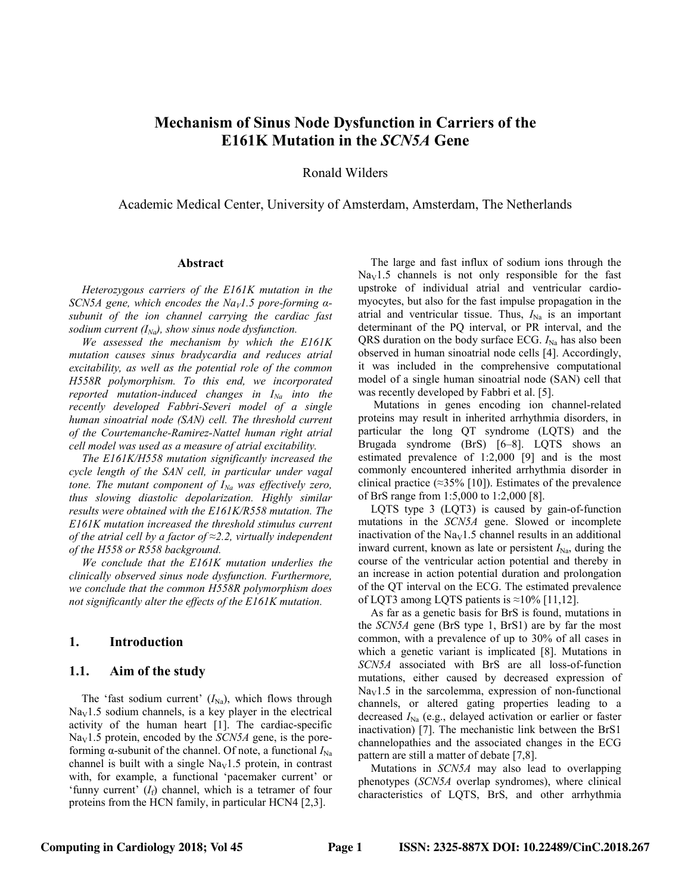# **Mechanism of Sinus Node Dysfunction in Carriers of the E161K Mutation in the** *SCN5A* **Gene**

Ronald Wilders

Academic Medical Center, University of Amsterdam, Amsterdam, The Netherlands

#### **Abstract**

*Heterozygous carriers of the E161K mutation in the SCN5A gene, which encodes the Na<sub>V</sub>1.5 pore-forming*  $\alpha$ *subunit of the ion channel carrying the cardiac fast sodium current*  $(I_{Na})$ *, show sinus node dysfunction.* 

*We assessed the mechanism by which the E161K mutation causes sinus bradycardia and reduces atrial excitability, as well as the potential role of the common H558R polymorphism. To this end, we incorporated reported mutation-induced changes in*  $I_{Na}$  *into the recently developed Fabbri-Severi model of a single human sinoatrial node (SAN) cell. The threshold current of the Courtemanche-Ramirez-Nattel human right atrial cell model was used as a measure of atrial excitability.*

*The E161K/H558 mutation significantly increased the cycle length of the SAN cell, in particular under vagal tone. The mutant component of*  $I_{Na}$  *was effectively zero, thus slowing diastolic depolarization. Highly similar results were obtained with the E161K/R558 mutation. The E161K mutation increased the threshold stimulus current of the atrial cell by a factor of ≈2.2, virtually independent of the H558 or R558 background.*

*We conclude that the E161K mutation underlies the clinically observed sinus node dysfunction. Furthermore, we conclude that the common H558R polymorphism does not significantly alter the effects of the E161K mutation.*

#### **1. Introduction**

#### **1.1. Aim of the study**

The 'fast sodium current'  $(I_{\text{Na}})$ , which flows through  $\text{Na}_{\text{V}}1.5$  sodium channels, is a key player in the electrical activity of the human heart [1]. The cardiac-specific  $Na<sub>V</sub>1.5$  protein, encoded by the *SCN5A* gene, is the poreforming α-subunit of the channel. Of note, a functional  $I_{\text{Na}}$ channel is built with a single  $\text{Na}_{\text{V}}1.5$  protein, in contrast with, for example, a functional 'pacemaker current' or 'funny current'  $(I_f)$  channel, which is a tetramer of four proteins from the HCN family, in particular HCN4 [2,3].

The large and fast influx of sodium ions through the  $\text{Na}_{\text{V}}$ 1.5 channels is not only responsible for the fast upstroke of individual atrial and ventricular cardiomyocytes, but also for the fast impulse propagation in the atrial and ventricular tissue. Thus,  $I_{\text{Na}}$  is an important determinant of the PQ interval, or PR interval, and the QRS duration on the body surface ECG.  $I_{\text{Na}}$  has also been observed in human sinoatrial node cells [4]. Accordingly, it was included in the comprehensive computational model of a single human sinoatrial node (SAN) cell that was recently developed by Fabbri et al. [5].

Mutations in genes encoding ion channel-related proteins may result in inherited arrhythmia disorders, in particular the long QT syndrome (LQTS) and the Brugada syndrome (BrS) [6–8]. LQTS shows an estimated prevalence of 1:2,000 [9] and is the most commonly encountered inherited arrhythmia disorder in clinical practice ( $\approx$ 35% [10]). Estimates of the prevalence of BrS range from 1:5,000 to 1:2,000 [8].

LQTS type 3 (LQT3) is caused by gain-of-function mutations in the *SCN5A* gene. Slowed or incomplete inactivation of the  $\text{Na}_{\text{V}}1.5$  channel results in an additional inward current, known as late or persistent  $I_{\text{Na}}$ , during the course of the ventricular action potential and thereby in an increase in action potential duration and prolongation of the QT interval on the ECG. The estimated prevalence of LQT3 among LQTS patients is  $\approx$ 10% [11,12].

As far as a genetic basis for BrS is found, mutations in the *SCN5A* gene (BrS type 1, BrS1) are by far the most common, with a prevalence of up to 30% of all cases in which a genetic variant is implicated [8]. Mutations in *SCN5A* associated with BrS are all loss-of-function mutations, either caused by decreased expression of  $\text{Na}_{\text{V}}1.5$  in the sarcolemma, expression of non-functional channels, or altered gating properties leading to a decreased  $I_{\text{Na}}$  (e.g., delayed activation or earlier or faster inactivation) [7]. The mechanistic link between the BrS1 channelopathies and the associated changes in the ECG pattern are still a matter of debate [7,8].

Mutations in *SCN5A* may also lead to overlapping phenotypes (*SCN5A* overlap syndromes), where clinical characteristics of LQTS, BrS, and other arrhythmia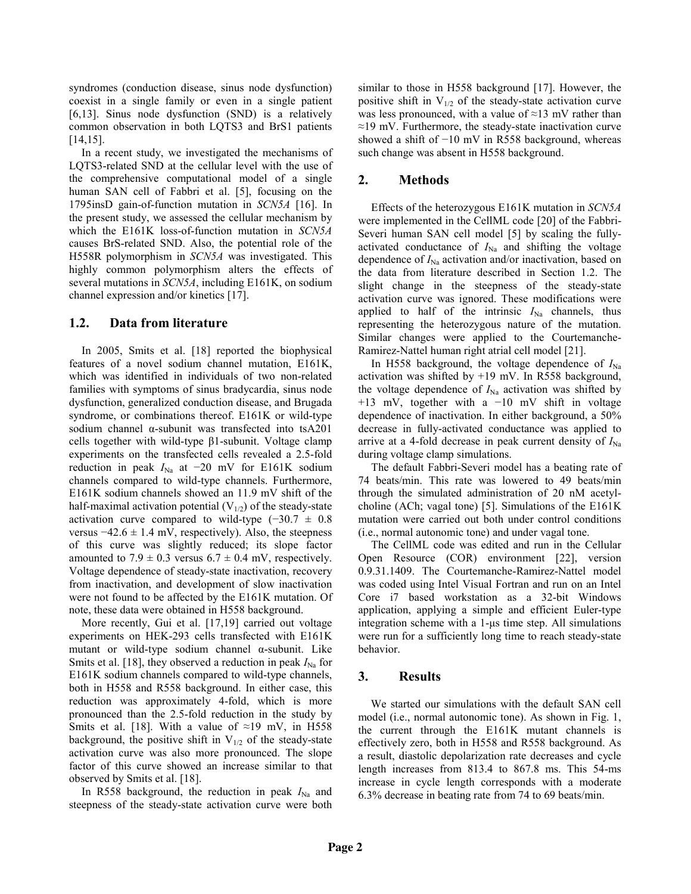syndromes (conduction disease, sinus node dysfunction) coexist in a single family or even in a single patient [6,13]. Sinus node dysfunction (SND) is a relatively common observation in both LQTS3 and BrS1 patients [14,15].

In a recent study, we investigated the mechanisms of LQTS3-related SND at the cellular level with the use of the comprehensive computational model of a single human SAN cell of Fabbri et al. [5], focusing on the 1795insD gain-of-function mutation in *SCN5A* [16]. In the present study, we assessed the cellular mechanism by which the E161K loss-of-function mutation in *SCN5A* causes BrS-related SND. Also, the potential role of the H558R polymorphism in *SCN5A* was investigated. This highly common polymorphism alters the effects of several mutations in *SCN5A*, including E161K, on sodium channel expression and/or kinetics [17].

### **1.2. Data from literature**

In 2005, Smits et al. [18] reported the biophysical features of a novel sodium channel mutation, E161K, which was identified in individuals of two non-related families with symptoms of sinus bradycardia, sinus node dysfunction, generalized conduction disease, and Brugada syndrome, or combinations thereof. E161K or wild-type sodium channel α-subunit was transfected into tsA201 cells together with wild-type β1-subunit. Voltage clamp experiments on the transfected cells revealed a 2.5-fold reduction in peak  $I_{\text{Na}}$  at −20 mV for E161K sodium channels compared to wild-type channels. Furthermore, E161K sodium channels showed an 11.9 mV shift of the half-maximal activation potential  $(V_{1/2})$  of the steady-state activation curve compared to wild-type  $(-30.7 \pm 0.8)$ versus  $-42.6 \pm 1.4$  mV, respectively). Also, the steepness of this curve was slightly reduced; its slope factor amounted to  $7.9 \pm 0.3$  versus  $6.7 \pm 0.4$  mV, respectively. Voltage dependence of steady-state inactivation, recovery from inactivation, and development of slow inactivation were not found to be affected by the E161K mutation. Of note, these data were obtained in H558 background.

More recently, Gui et al. [17,19] carried out voltage experiments on HEK-293 cells transfected with E161K mutant or wild-type sodium channel  $\alpha$ -subunit. Like Smits et al. [18], they observed a reduction in peak  $I_{\text{Na}}$  for E161K sodium channels compared to wild-type channels, both in H558 and R558 background. In either case, this reduction was approximately 4-fold, which is more pronounced than the 2.5-fold reduction in the study by Smits et al. [18]. With a value of  $\approx$ 19 mV, in H558 background, the positive shift in  $V_{1/2}$  of the steady-state activation curve was also more pronounced. The slope factor of this curve showed an increase similar to that observed by Smits et al. [18].

In R558 background, the reduction in peak  $I_{\text{Na}}$  and steepness of the steady-state activation curve were both

similar to those in H558 background [17]. However, the positive shift in  $V_{1/2}$  of the steady-state activation curve was less pronounced, with a value of  $\approx$ 13 mV rather than ≈19 mV. Furthermore, the steady-state inactivation curve showed a shift of −10 mV in R558 background, whereas such change was absent in H558 background.

# **2. Methods**

Effects of the heterozygous E161K mutation in *SCN5A* were implemented in the CellML code [20] of the Fabbri-Severi human SAN cell model [5] by scaling the fullyactivated conductance of  $I_{\text{Na}}$  and shifting the voltage dependence of  $I_{\text{Na}}$  activation and/or inactivation, based on the data from literature described in Section 1.2. The slight change in the steepness of the steady-state activation curve was ignored. These modifications were applied to half of the intrinsic  $I_{\text{Na}}$  channels, thus representing the heterozygous nature of the mutation. Similar changes were applied to the Courtemanche-Ramirez-Nattel human right atrial cell model [21].

In H558 background, the voltage dependence of  $I_{\text{Na}}$ activation was shifted by +19 mV. In R558 background, the voltage dependence of  $I_{\text{Na}}$  activation was shifted by +13 mV, together with a −10 mV shift in voltage dependence of inactivation. In either background, a 50% decrease in fully-activated conductance was applied to arrive at a 4-fold decrease in peak current density of  $I_{\text{Na}}$ during voltage clamp simulations.

The default Fabbri-Severi model has a beating rate of 74 beats/min. This rate was lowered to 49 beats/min through the simulated administration of 20 nM acetylcholine (ACh; vagal tone) [5]. Simulations of the E161K mutation were carried out both under control conditions (i.e., normal autonomic tone) and under vagal tone.

The CellML code was edited and run in the Cellular Open Resource (COR) environment [22], version 0.9.31.1409. The Courtemanche-Ramirez-Nattel model was coded using Intel Visual Fortran and run on an Intel Core i7 based workstation as a 32-bit Windows application, applying a simple and efficient Euler-type integration scheme with a 1-μs time step. All simulations were run for a sufficiently long time to reach steady-state behavior.

## **3. Results**

We started our simulations with the default SAN cell model (i.e., normal autonomic tone). As shown in Fig. 1, the current through the E161K mutant channels is effectively zero, both in H558 and R558 background. As a result, diastolic depolarization rate decreases and cycle length increases from 813.4 to 867.8 ms. This 54-ms increase in cycle length corresponds with a moderate 6.3% decrease in beating rate from 74 to 69 beats/min.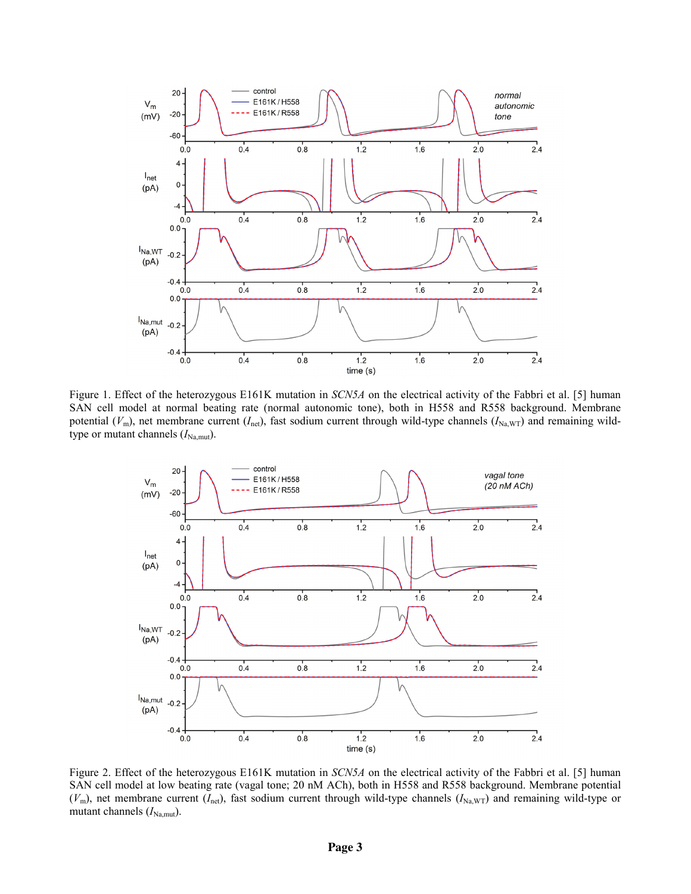

Figure 1. Effect of the heterozygous E161K mutation in *SCN5A* on the electrical activity of the Fabbri et al. [5] human SAN cell model at normal beating rate (normal autonomic tone), both in H558 and R558 background. Membrane potential ( $V_{\text{m}}$ ), net membrane current ( $I_{\text{net}}$ ), fast sodium current through wild-type channels ( $I_{\text{Na,WT}}$ ) and remaining wildtype or mutant channels  $(I_{\text{Na},\text{mut}})$ .



Figure 2. Effect of the heterozygous E161K mutation in *SCN5A* on the electrical activity of the Fabbri et al. [5] human SAN cell model at low beating rate (vagal tone; 20 nM ACh), both in H558 and R558 background. Membrane potential ( $V<sub>m</sub>$ ), net membrane current ( $I<sub>net</sub>$ ), fast sodium current through wild-type channels ( $I<sub>Na,WT</sub>$ ) and remaining wild-type or mutant channels ( $I_{\text{Na,mut}}$ ).